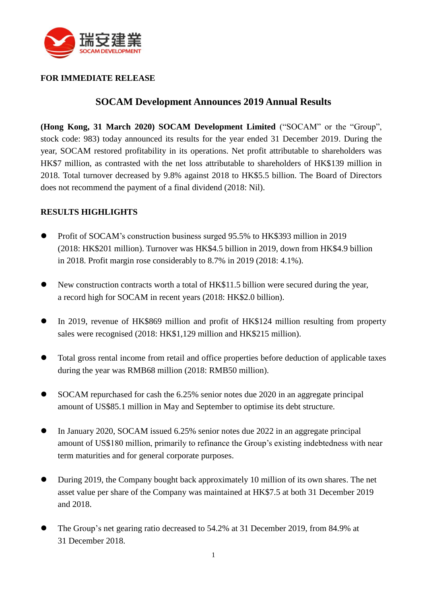

## **FOR IMMEDIATE RELEASE**

## **SOCAM Development Announces 2019 Annual Results**

**(Hong Kong, 31 March 2020) SOCAM Development Limited** ("SOCAM" or the "Group", stock code: 983) today announced its results for the year ended 31 December 2019. During the year, SOCAM restored profitability in its operations. Net profit attributable to shareholders was HK\$7 million, as contrasted with the net loss attributable to shareholders of HK\$139 million in 2018. Total turnover decreased by 9.8% against 2018 to HK\$5.5 billion. The Board of Directors does not recommend the payment of a final dividend (2018: Nil).

### **RESULTS HIGHLIGHTS**

- Profit of SOCAM's construction business surged 95.5% to HK\$393 million in 2019 (2018: HK\$201 million). Turnover was HK\$4.5 billion in 2019, down from HK\$4.9 billion in 2018. Profit margin rose considerably to 8.7% in 2019 (2018: 4.1%).
- New construction contracts worth a total of HK\$11.5 billion were secured during the year, a record high for SOCAM in recent years (2018: HK\$2.0 billion).
- In 2019, revenue of HK\$869 million and profit of HK\$124 million resulting from property sales were recognised (2018: HK\$1,129 million and HK\$215 million).
- Total gross rental income from retail and office properties before deduction of applicable taxes during the year was RMB68 million (2018: RMB50 million).
- SOCAM repurchased for cash the 6.25% senior notes due 2020 in an aggregate principal amount of US\$85.1 million in May and September to optimise its debt structure.
- In January 2020, SOCAM issued 6.25% senior notes due 2022 in an aggregate principal amount of US\$180 million, primarily to refinance the Group's existing indebtedness with near term maturities and for general corporate purposes.
- During 2019, the Company bought back approximately 10 million of its own shares. The net asset value per share of the Company was maintained at HK\$7.5 at both 31 December 2019 and 2018.
- The Group's net gearing ratio decreased to 54.2% at 31 December 2019, from 84.9% at 31 December 2018.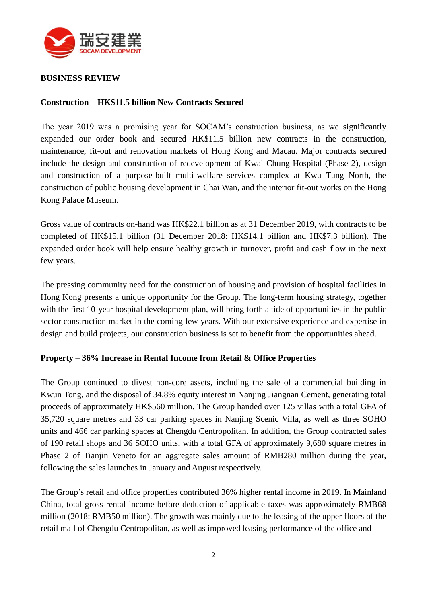

#### **BUSINESS REVIEW**

#### **Construction – HK\$11.5 billion New Contracts Secured**

The year 2019 was a promising year for SOCAM's construction business, as we significantly expanded our order book and secured HK\$11.5 billion new contracts in the construction, maintenance, fit-out and renovation markets of Hong Kong and Macau. Major contracts secured include the design and construction of redevelopment of Kwai Chung Hospital (Phase 2), design and construction of a purpose-built multi-welfare services complex at Kwu Tung North, the construction of public housing development in Chai Wan, and the interior fit-out works on the Hong Kong Palace Museum.

Gross value of contracts on-hand was HK\$22.1 billion as at 31 December 2019, with contracts to be completed of HK\$15.1 billion (31 December 2018: HK\$14.1 billion and HK\$7.3 billion). The expanded order book will help ensure healthy growth in turnover, profit and cash flow in the next few years.

The pressing community need for the construction of housing and provision of hospital facilities in Hong Kong presents a unique opportunity for the Group. The long-term housing strategy, together with the first 10-year hospital development plan, will bring forth a tide of opportunities in the public sector construction market in the coming few years. With our extensive experience and expertise in design and build projects, our construction business is set to benefit from the opportunities ahead.

#### **Property – 36% Increase in Rental Income from Retail & Office Properties**

The Group continued to divest non-core assets, including the sale of a commercial building in Kwun Tong, and the disposal of 34.8% equity interest in Nanjing Jiangnan Cement, generating total proceeds of approximately HK\$560 million. The Group handed over 125 villas with a total GFA of 35,720 square metres and 33 car parking spaces in Nanjing Scenic Villa, as well as three SOHO units and 466 car parking spaces at Chengdu Centropolitan. In addition, the Group contracted sales of 190 retail shops and 36 SOHO units, with a total GFA of approximately 9,680 square metres in Phase 2 of Tianjin Veneto for an aggregate sales amount of RMB280 million during the year, following the sales launches in January and August respectively.

The Group's retail and office properties contributed 36% higher rental income in 2019. In Mainland China, total gross rental income before deduction of applicable taxes was approximately RMB68 million (2018: RMB50 million). The growth was mainly due to the leasing of the upper floors of the retail mall of Chengdu Centropolitan, as well as improved leasing performance of the office and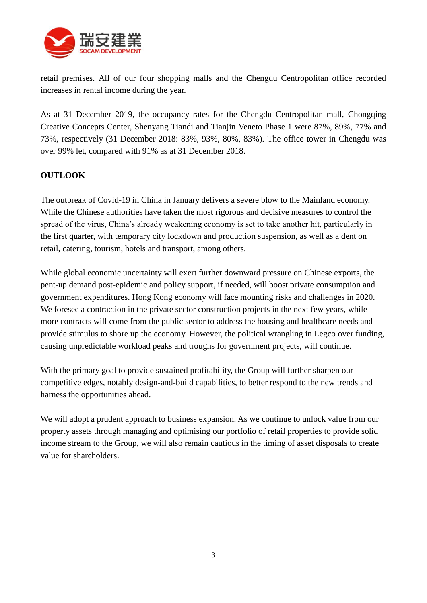

retail premises. All of our four shopping malls and the Chengdu Centropolitan office recorded increases in rental income during the year.

As at 31 December 2019, the occupancy rates for the Chengdu Centropolitan mall, Chongqing Creative Concepts Center, Shenyang Tiandi and Tianjin Veneto Phase 1 were 87%, 89%, 77% and 73%, respectively (31 December 2018: 83%, 93%, 80%, 83%). The office tower in Chengdu was over 99% let, compared with 91% as at 31 December 2018.

## **OUTLOOK**

The outbreak of Covid-19 in China in January delivers a severe blow to the Mainland economy. While the Chinese authorities have taken the most rigorous and decisive measures to control the spread of the virus, China's already weakening economy is set to take another hit, particularly in the first quarter, with temporary city lockdown and production suspension, as well as a dent on retail, catering, tourism, hotels and transport, among others.

While global economic uncertainty will exert further downward pressure on Chinese exports, the pent-up demand post-epidemic and policy support, if needed, will boost private consumption and government expenditures. Hong Kong economy will face mounting risks and challenges in 2020. We foresee a contraction in the private sector construction projects in the next few years, while more contracts will come from the public sector to address the housing and healthcare needs and provide stimulus to shore up the economy. However, the political wrangling in Legco over funding, causing unpredictable workload peaks and troughs for government projects, will continue.

With the primary goal to provide sustained profitability, the Group will further sharpen our competitive edges, notably design-and-build capabilities, to better respond to the new trends and harness the opportunities ahead.

We will adopt a prudent approach to business expansion. As we continue to unlock value from our property assets through managing and optimising our portfolio of retail properties to provide solid income stream to the Group, we will also remain cautious in the timing of asset disposals to create value for shareholders.